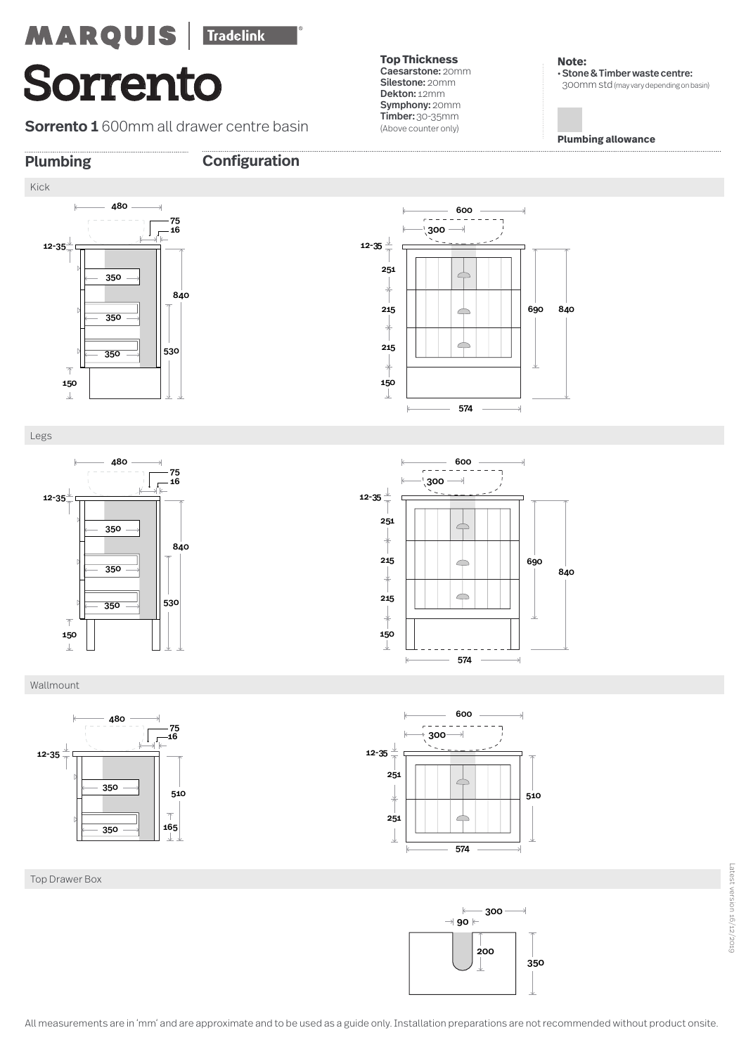**Sorrento 1** 600mm all drawer centre basin

**Top Thickness**  Caesarstone: 20mm Silestone: 20mm Dekton: 12mm Symphony: 20mm Timber: 30-35mm (Above counter only)

600

 $\subset$  $\overline{\phantom{a}}$ 

 $\triangle$ 

 $\Rightarrow$ 

300

 $\epsilon =$ 

150

-J.

215

215

251

12-35

**Note:**  • Stone & Timber waste centre: 300mm std(may vary depending on basin)

**Plumbing allowance**

690 840

L.

**Plumbing Configuration**







600  $- - \overline{\mathbf{1}}$  $\rightarrow$  300  $\rightarrow$ 12-35  $\downarrow$ 251  $\Rightarrow$ 215 690  $\Rightarrow$ 840  $\Rightarrow$ 215 150 574 Ñ

574

Wallmount



Top Drawer Box



600

 $\rightarrow$ 

 $\overline{300}$ 

 $-$ 

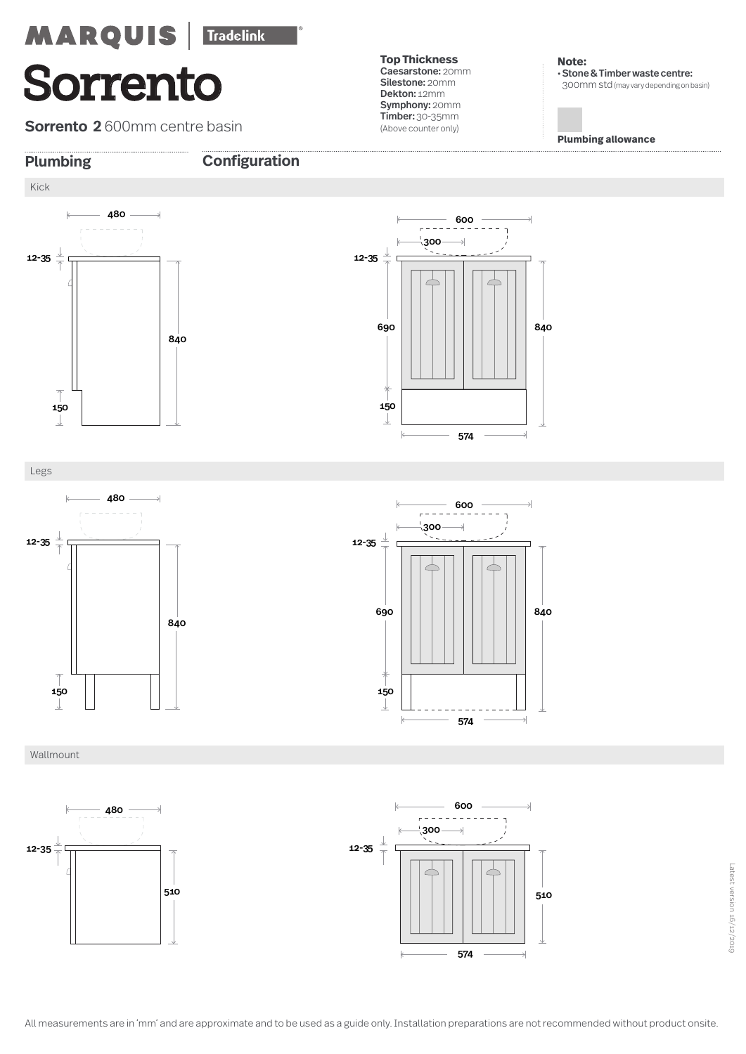**Sorrento 2** 600mm centre basin

**Top Thickness**  Caesarstone: 20mm Silestone: 20mm Dekton: 12mm Symphony: 20mm Timber: 30-35mm (Above counter only)

**Note:**  • Stone & Timber waste centre: 300mm std(may vary depending on basin)

**Plumbing allowance**



### **Plumbing Configuration**



Legs



600  $\frac{1}{\Gamma}$  = = = = =  $\overline{1}$  $300$  $\rightarrow$ 12-35  $\sqrt{2}$ C 690 840 150 J  $\mathbb{k}$ 574  $\rightarrow$ 



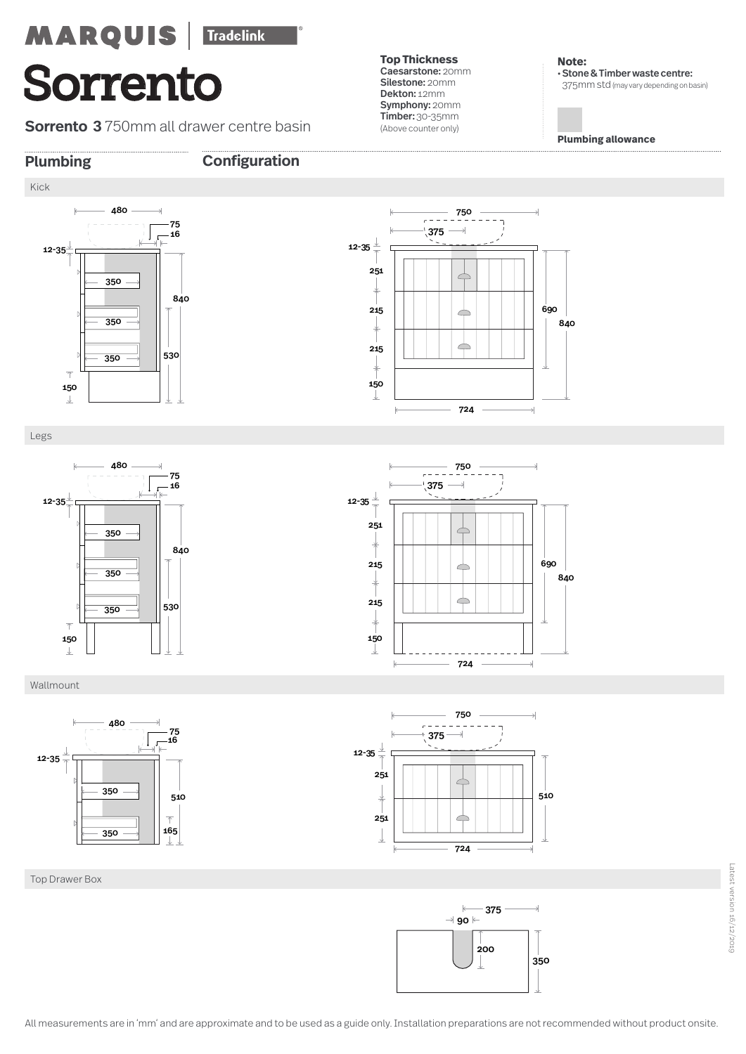**Sorrento 3** 750mm all drawer centre basin

**Top Thickness**  Caesarstone: 20mm Silestone: 20mm Dekton: 12mm Symphony: 20mm Timber: 30-35mm (Above counter only)

**Note:**  • Stone & Timber waste centre: 375mm std(may vary depending on basin)

**Plumbing allowance**

**Plumbing Configuration**





750  $\omega = \omega$   $\omega$  $\overline{\mathbb{I}}$  $^{\circ}$ 375  $\rightarrow$ ٠. 12-35 251  $\overline{\phantom{a}}$ 215 690  $\overline{\phantom{a}}$ 840  $\triangle$ 215 150 J 724







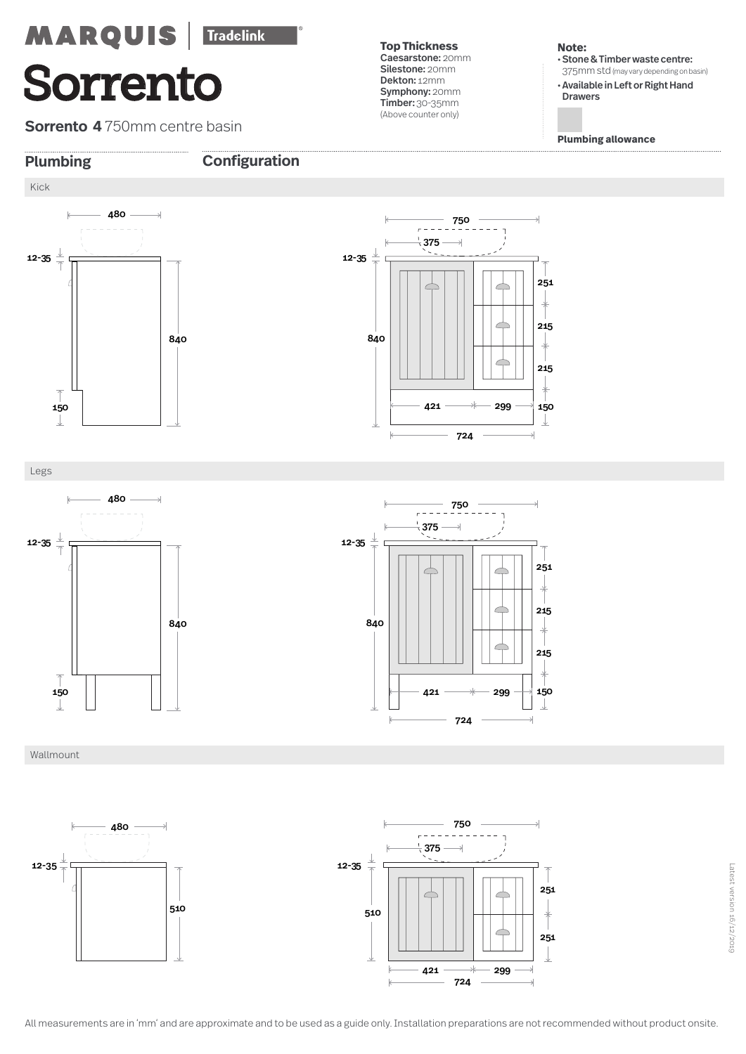**Sorrento 4** 750mm centre basin

**Top Thickness**  Caesarstone: 20mm Silestone: 20mm Dekton: 12mm Symphony: 20mm Timber: 30-35mm (Above counter only)

### **Note:**

• Stone & Timber waste centre: 375mm std(may vary depending on basin)

• Available in Left or Right Hand Drawers

**Plumbing allowance**



### **Plumbing Configuration**



Legs







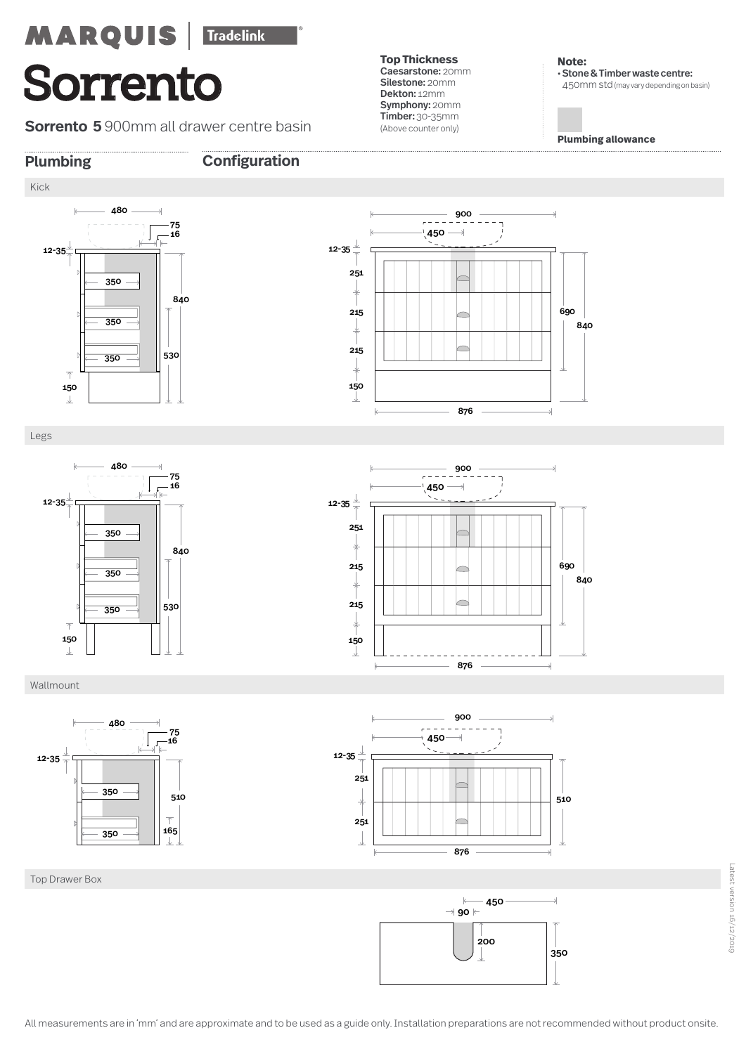## Tradelink **MARQUIS Sorrento**

**Sorrento 5** 900mm all drawer centre basin

ر،<br>16-

**Top Thickness**  Caesarstone: 20mm Silestone: 20mm Dekton: 12mm Symphony: 20mm Timber: 30-35mm (Above counter only)

 $\overline{\phantom{0}}$ 

 $\overline{\phantom{0}}$ 

 $\overline{\phantom{a}}$ 

**Note:**  • Stone & Timber waste centre: 450mm std(may vary depending on basin)

**Plumbing allowance**

 

**Plumbing Configuration**





Wallmount

12-35

 $\downarrow$ 







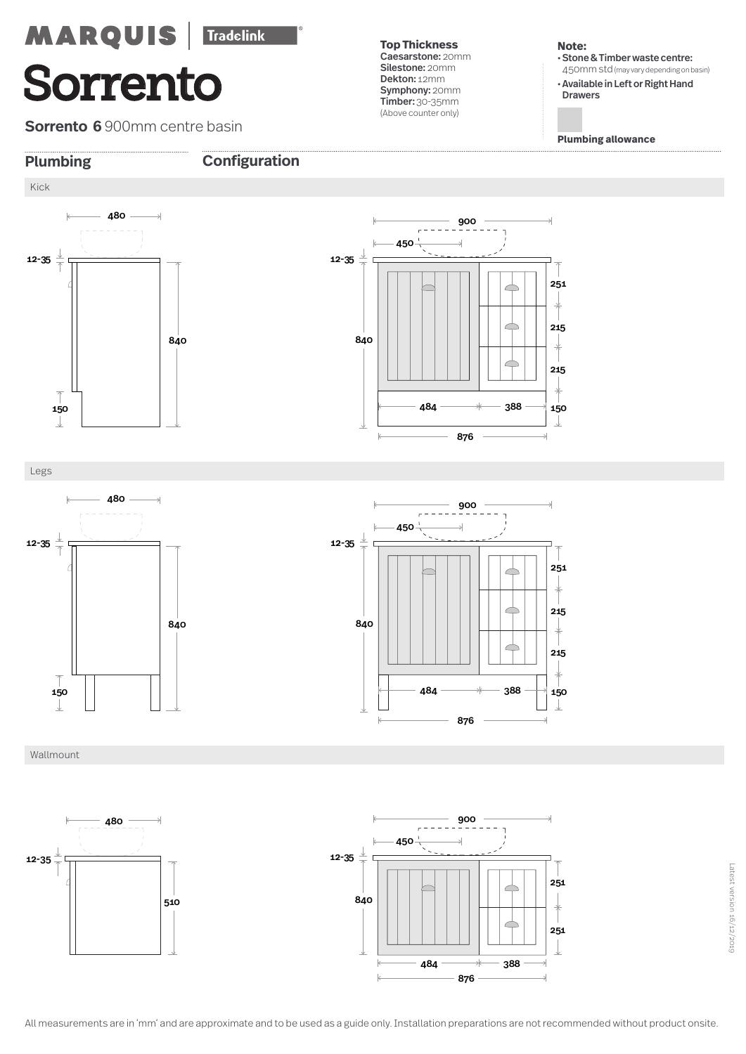**Sorrento 6** 900mm centre basin

**Top Thickness**  Caesarstone: 20mm Silestone: 20mm Dekton: 12mm Symphony: 20mm Timber: 30-35mm (Above counter only)

### **Note:**

• Stone & Timber waste centre: 450mm std(may vary depending on basin)

• Available in Left or Right Hand Drawers

**Plumbing allowance**



### **Plumbing Configuration**



Legs







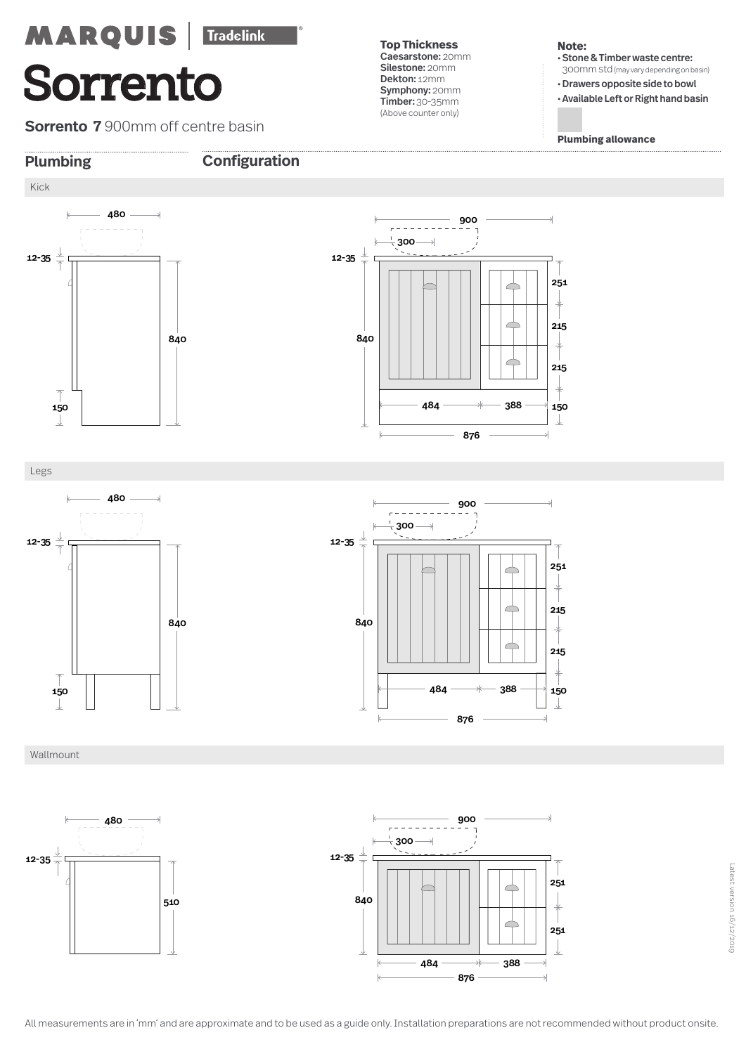**Sorrento 7 900mm off centre basin** 

**Top Thickness**  Caesarstone: 20mm Silestone: 20mm Dekton: 12mm Symphony: 20mm Timber: 30-35mm (Above counter only)

### **Note:**

• Stone & Timber waste centre: 300mm std(may vary depending on basin)

• Drawers opposite side to bowl

• Available Left or Right hand basin

**Plumbing allowance**



### **Plumbing Configuration**



Legs







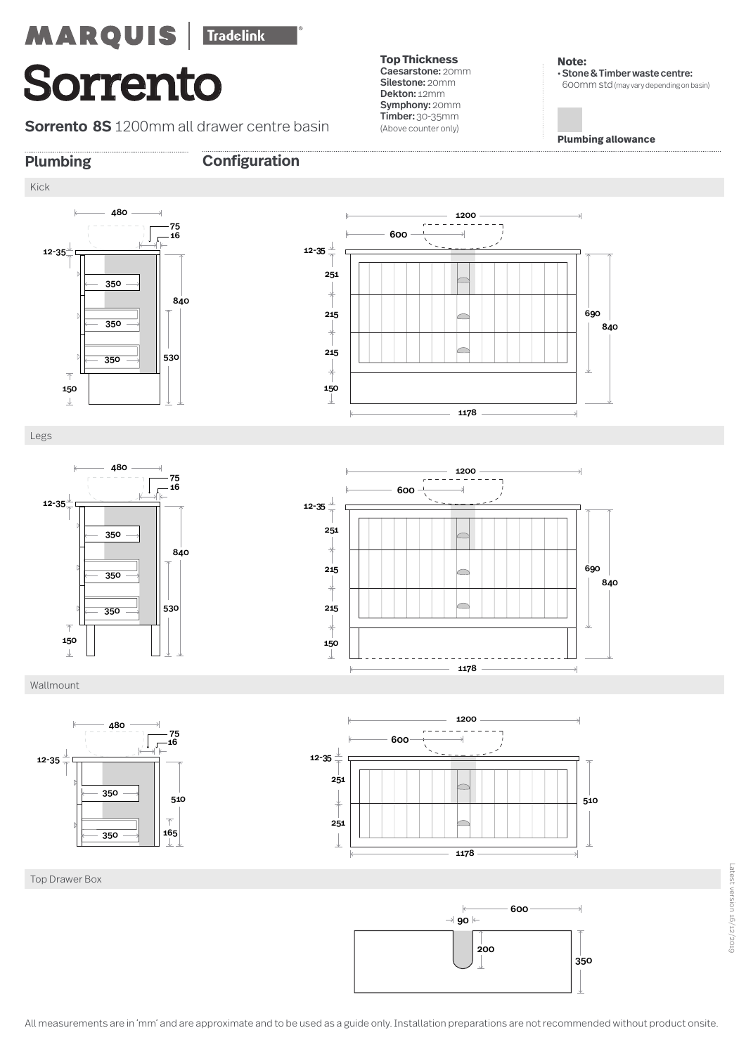## Tradelink **MARQUIS Sorrento**

**Sorrento 8S** 1200mm all drawer centre basin

**Top Thickness**  Caesarstone: 20mm Silestone: 20mm Dekton: 12mm Symphony: 20mm Timber: 30-35mm (Above counter only)

**Note:**  • Stone & Timber waste centre: 600mm std(may vary depending on basin)

**Plumbing allowance**

### **Plumbing Configuration**

12-35

Kick

### 



Legs

 $\downarrow$ 











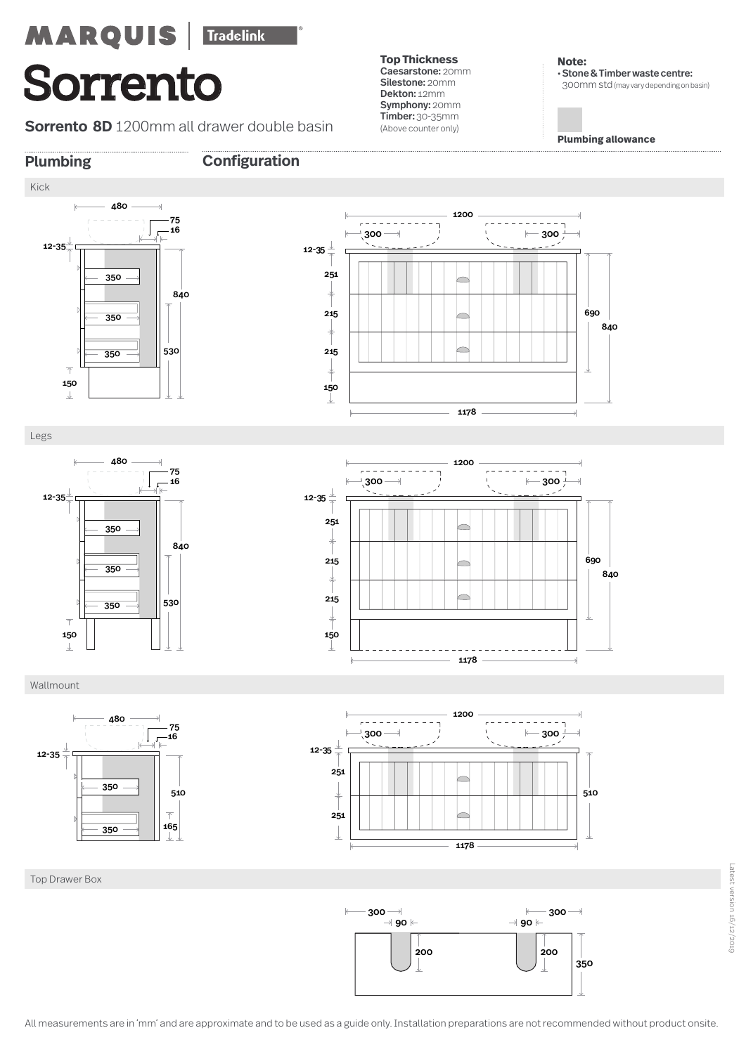**Sorrento 8D** 1200mm all drawer double basin

**Plumbing Configuration**

**Top Thickness**  Caesarstone: 20mm Silestone: 20mm Dekton: 12mm Symphony: 20mm Timber: 30-35mm (Above counter only)

**Note:**  • Stone & Timber waste centre: 300mm std(may vary depending on basin)

**Plumbing allowance**





Legs









Top Drawer Box

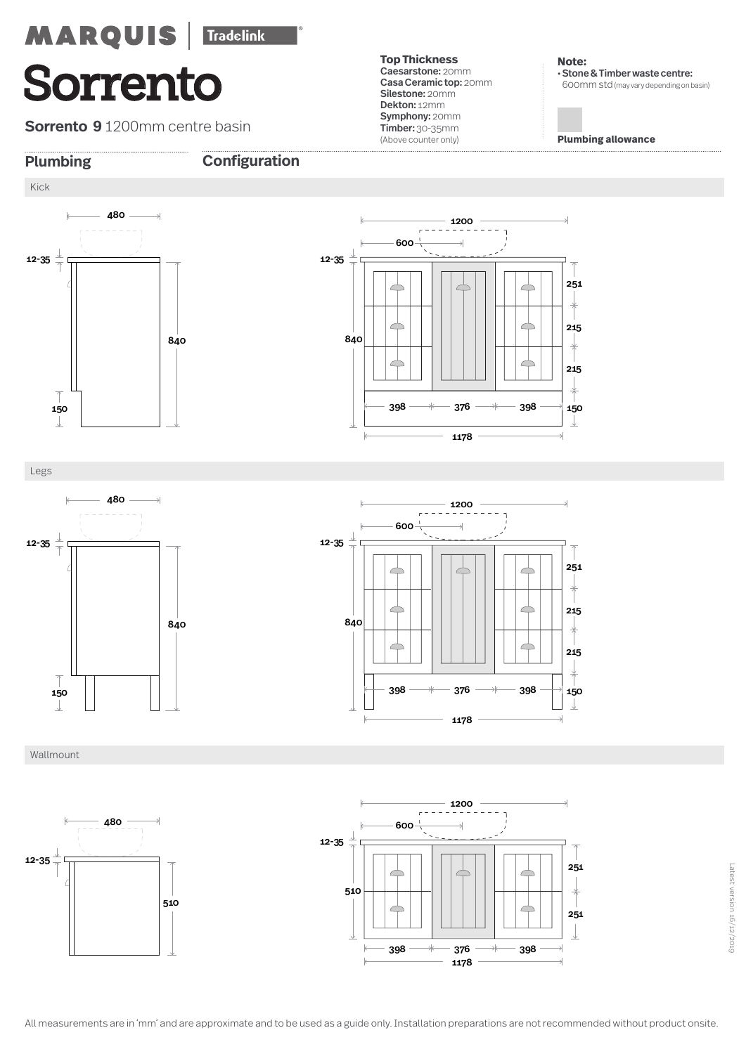**Sorrento 9** 1200mm centre basin

**Plumbing Configuration**

**Top Thickness**  Caesarstone: 20mm Casa Ceramic top: 20mm Silestone: 20mm Dekton: 12mm Symphony: 20mm Timber: 30-35mm (Above counter only)

**Note:**  • Stone & Timber waste centre: 600mm std(may vary depending on basin)

**Plumbing allowance**





Legs







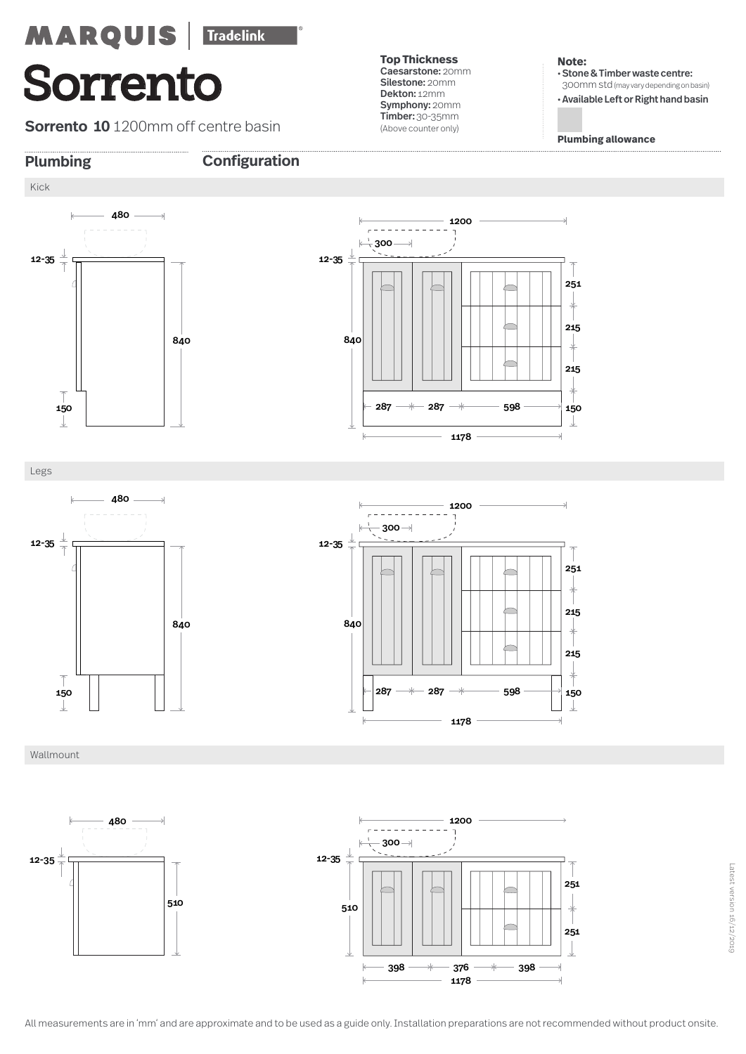**Sorrento 10** 1200mm off centre basin

**Top Thickness**  Caesarstone: 20mm Silestone: 20mm Dekton: 12mm Symphony: 20mm Timber: 30-35mm (Above counter only)

### **Note:**

• Stone & Timber waste centre: 300mm std(may vary depending on basin) • Available Left or Right hand basin

**Plumbing allowance**

Kick

12-35

### **Plumbing Configuration**



Legs





Wallmount





Latest version 16/12/2019

Latest version 16/12/2019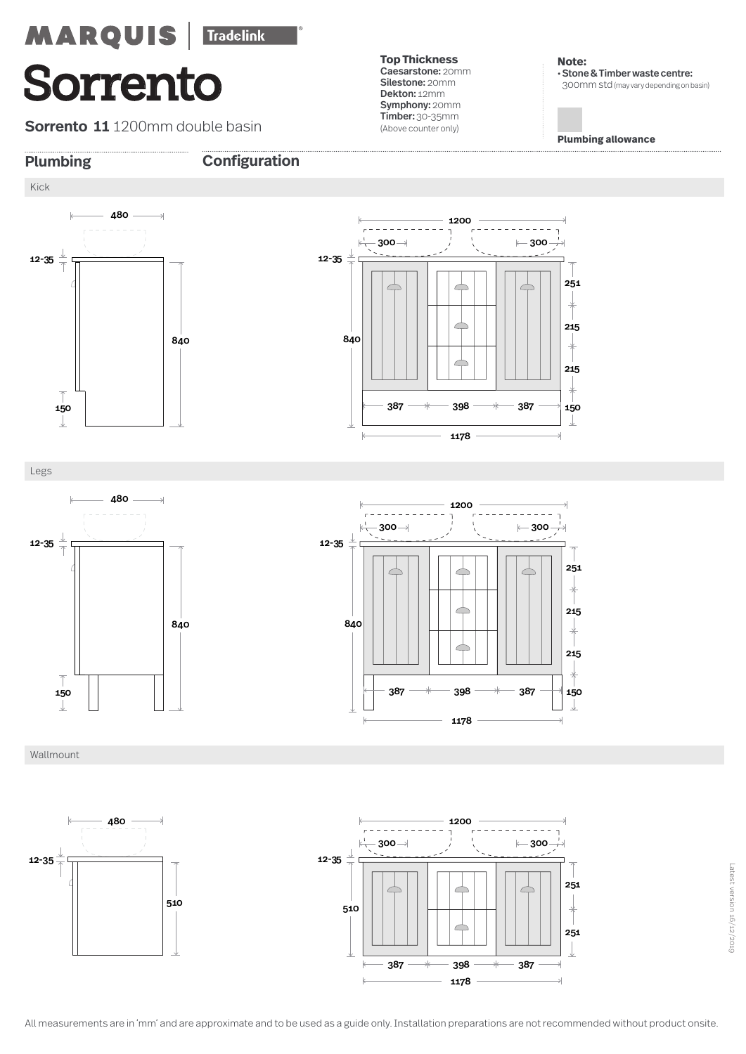**Sorrento 11** 1200mm double basin

**Top Thickness**  Caesarstone: 20mm Silestone: 20mm Dekton: 12mm Symphony: 20mm Timber: 30-35mm (Above counter only)

**Note:**  • Stone & Timber waste centre: 300mm std(may vary depending on basin)

**Plumbing allowance**

150

 $\downarrow$ 

215

 $\overline{\phantom{a}}$ 

215

251



### **Plumbing Configuration**



Legs





Wallmount





Latest version 16/12/2019

Latest version 16/12/2019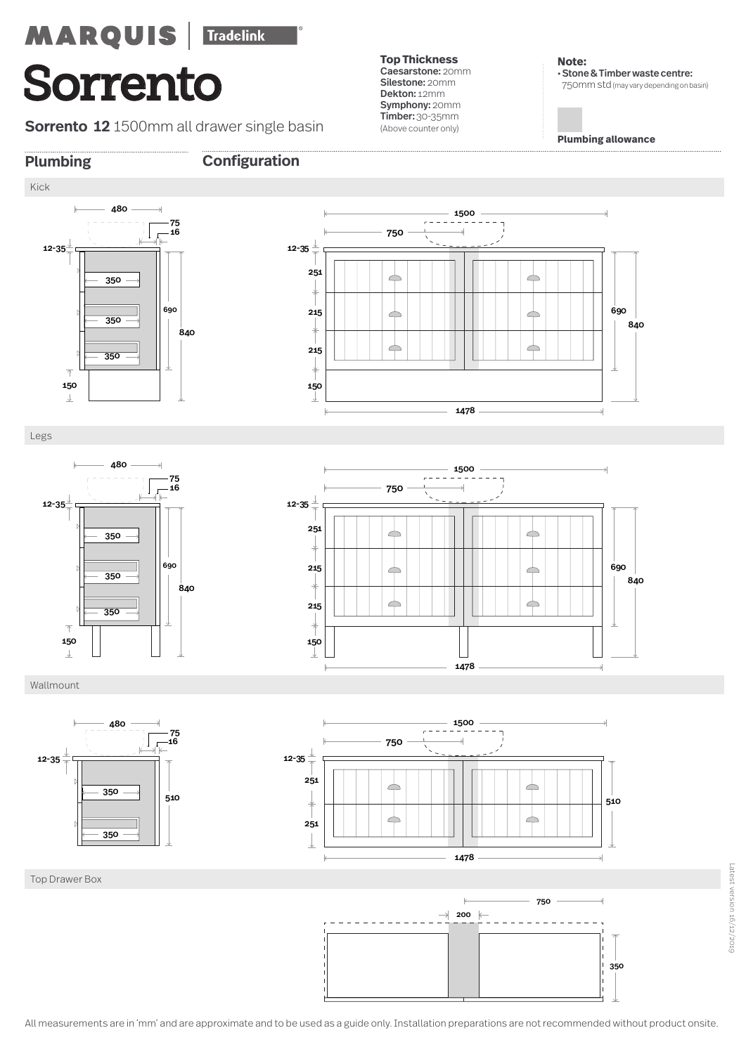**Sorrento 12** 1500mm all drawer single basin

**Top Thickness**  Caesarstone: 20mm Silestone: 20mm Dekton: 12mm Symphony: 20mm Timber: 30-35mm (Above counter only)

**Note:**  • Stone & Timber waste centre: 750mm std(may vary depending on basin)

**Plumbing allowance**

### **Plumbing Configuration**





Legs





Wallmount







Top Drawer Box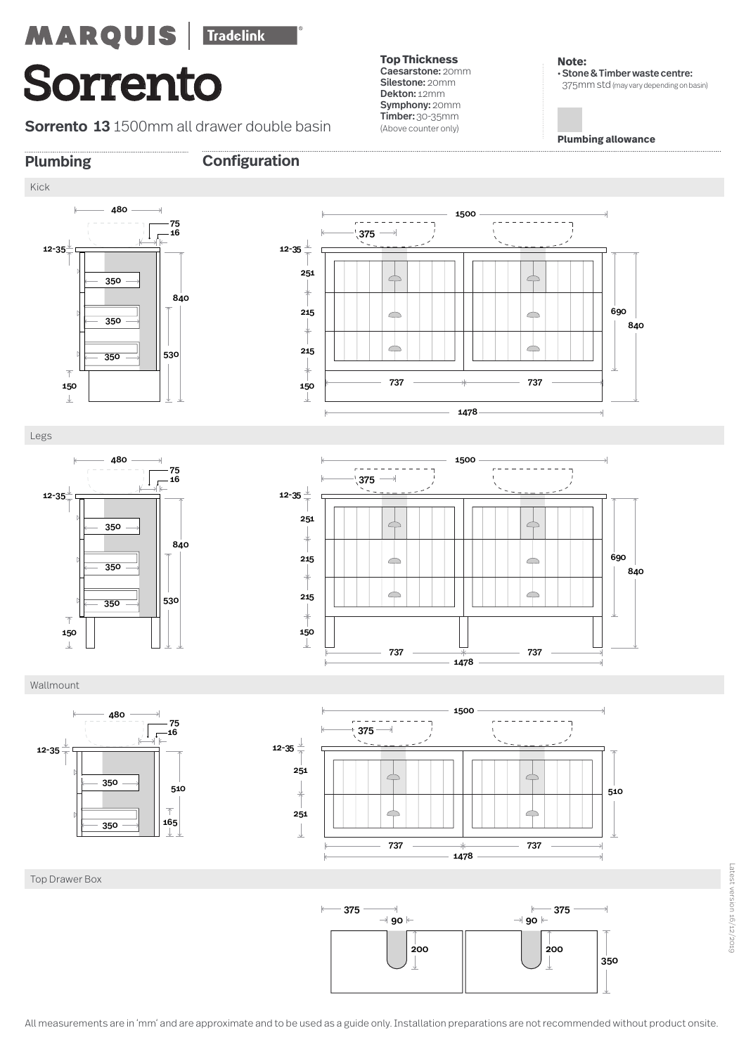**Sorrento 13** 1500mm all drawer double basin

**Top Thickness**  Caesarstone: 20mm Silestone: 20mm Dekton: 12mm Symphony: 20mm Timber: 30-35mm (Above counter only)

**Note:**  • Stone & Timber waste centre: 375mm std(may vary depending on basin)

**Plumbing allowance**

 



### **Plumbing Configuration**







### Wallmount





Top Drawer Box

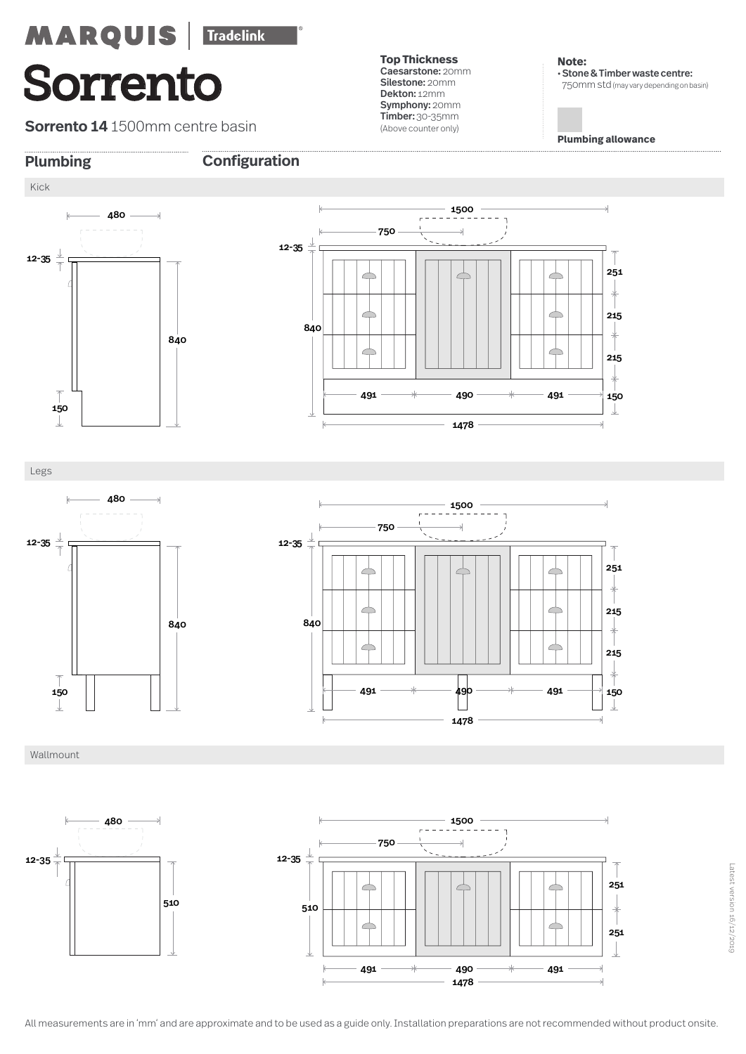**Sorrento 14** 1500mm centre basin

**Top Thickness**  Caesarstone: 20mm Silestone: 20mm Dekton: 12mm Symphony: 20mm Timber: 30-35mm (Above counter only)

**Note:**  • Stone & Timber waste centre: 750mm std(may vary depending on basin)

**Plumbing allowance**

### **Plumbing Configuration**





Legs







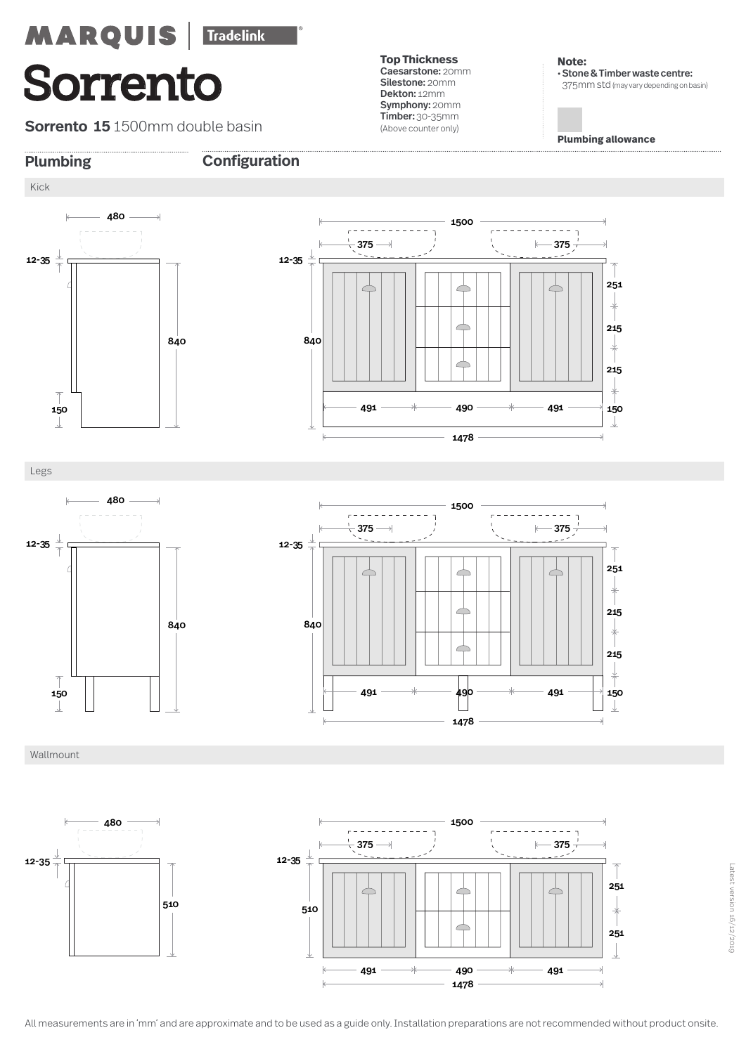**Sorrento 15** 1500mm double basin

**Top Thickness**  Caesarstone: 20mm Silestone: 20mm Dekton: 12mm Symphony: 20mm Timber: 30-35mm (Above counter only)

**Note:**  • Stone & Timber waste centre: 375mm std(may vary depending on basin)

**Plumbing allowance**





Legs





Wallmount





Latest version 16/12/2019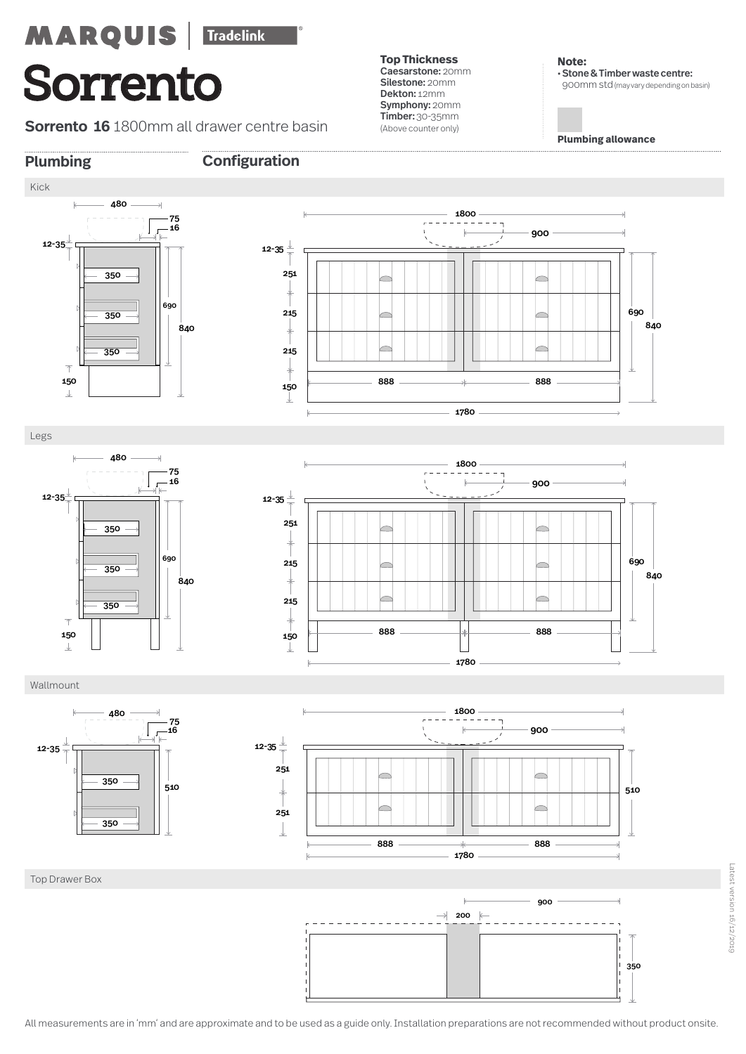**Sorrento 16** 1800mm all drawer centre basin

**Plumbing Configuration**

**Top Thickness**  Caesarstone: 20mm Silestone: 20mm Dekton: 12mm Symphony: 20mm Timber: 30-35mm (Above counter only)

**Note:**  • Stone & Timber waste centre: 900mm std(may vary depending on basin)

**Plumbing allowance**

### Kick  $\perp$  12-35



Legs

 $\downarrow$ 





### Wallmount

Top Drawer Box







All measurements are in 'mm' and are approximate and to be used as a guide only. Installation preparations are not recommended without product onsite.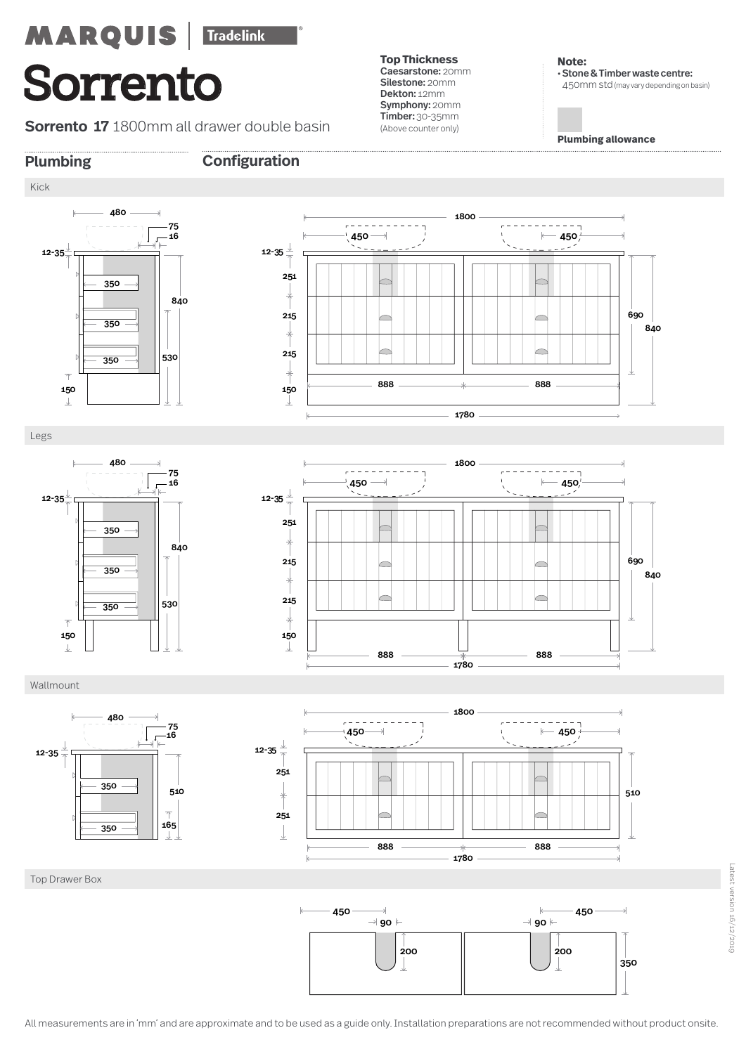**Sorrento 17** 1800mm all drawer double basin

**Top Thickness**  Caesarstone: 20mm Silestone: 20mm Dekton: 12mm Symphony: 20mm Timber: 30-35mm (Above counter only)

**Note:**  • Stone & Timber waste centre: 450mm std(may vary depending on basin)

**Plumbing allowance**



Kick

### **Plumbing Configuration**



Legs





Wallmount





Top Drawer Box

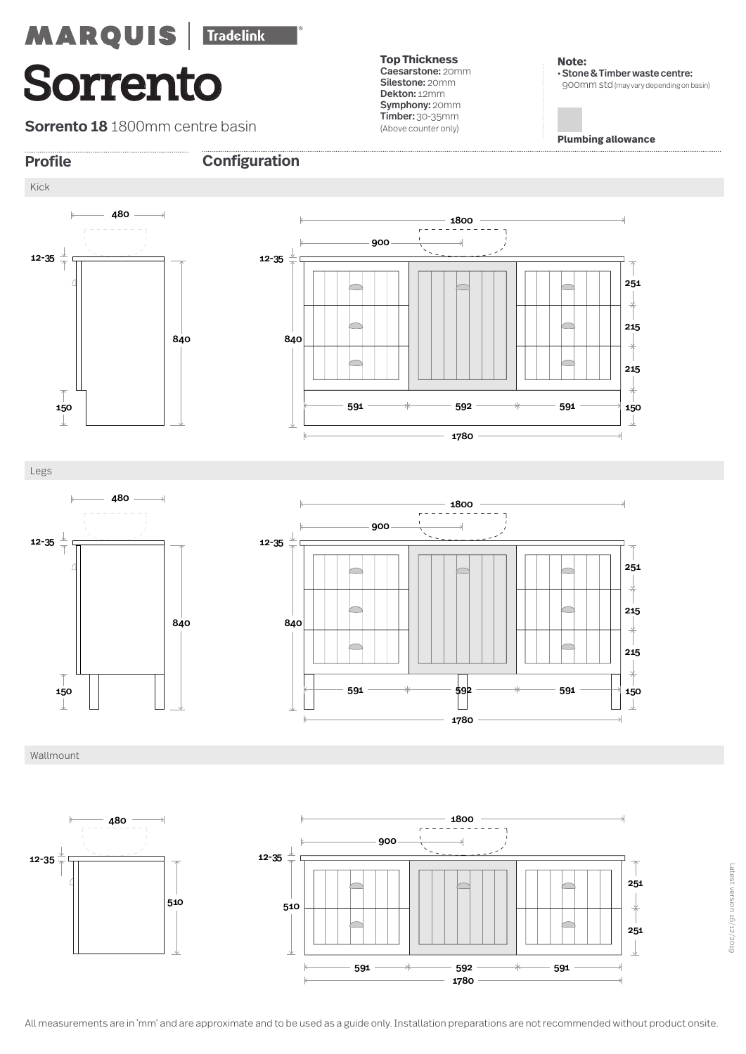**Sorrento 18** 1800mm centre basin

**Top Thickness**  Caesarstone: 20mm Silestone: 20mm Dekton: 12mm Symphony: 20mm Timber: 30-35mm (Above counter only)

**Note:**  • Stone & Timber waste centre: 900mm std(may vary depending on basin)

**Plumbing allowance**





Legs